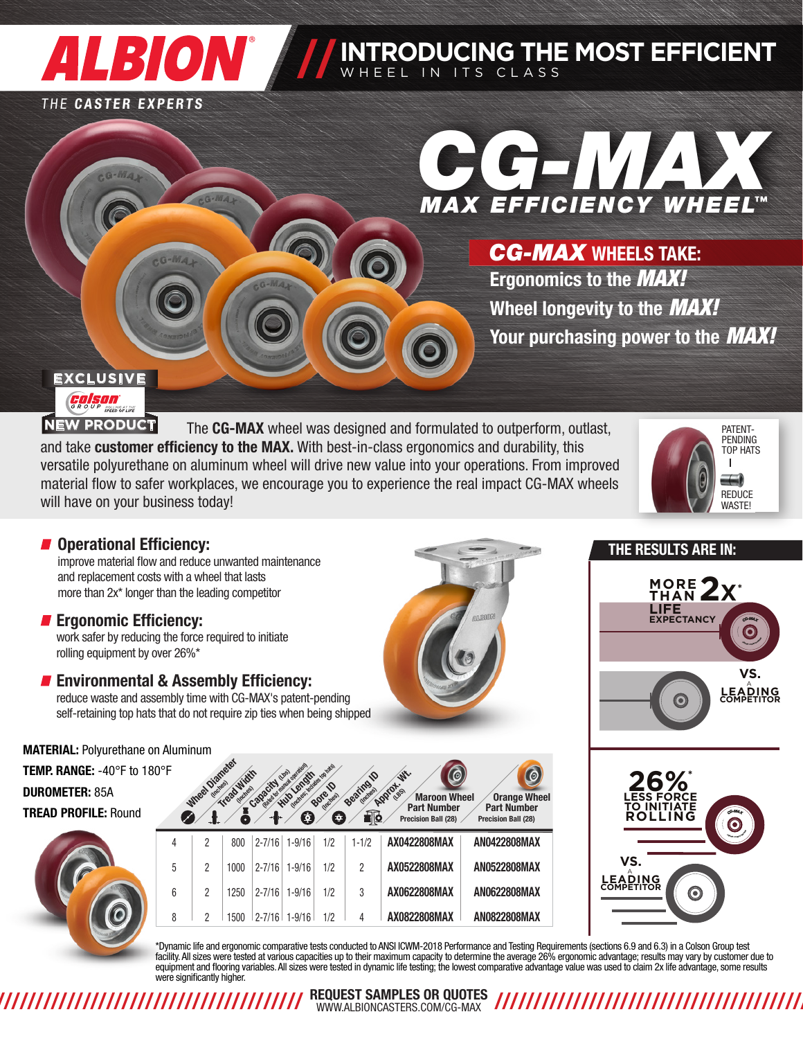# **ALBION ///**

#### THE CASTER EXPERTS

# *MAX EFFICIENCY WHEEL CG-MAX™*

**INTRODUCING THE MOST EFFICIENT**

WHEEL IN ITS CLASS

Ergonomics to the *MAX!* Wheel longevity to the *MAX!* Your purchasing power to the *MAX! CG-MAX* WHEELS TAKE:

# **EXCLUSIVE COISON**

The CG-MAX wheel was designed and formulated to outperform, outlast, and take customer efficiency to the MAX. With best-in-class ergonomics and durability, this versatile polyurethane on aluminum wheel will drive new value into your operations. From improved material flow to safer workplaces, we encourage you to experience the real impact CG-MAX wheels will have on your business today! **NEW PRODUCT**



# **Operational Efficiency:**

improve material flow and reduce unwanted maintenance and replacement costs with a wheel that lasts more than 2x\* longer than the leading competitor

# **F** Ergonomic Efficiency:

work safer by reducing the force required to initiate rolling equipment by over 26%\*

# **Environmental & Assembly Efficiency:**

reduce waste and assembly time with CG-MAX's patent-pending self-retaining top hats that do not require zip ties when being shipped

MATERIAL: Polyurethane on Aluminum

TEMP. RANGE: -40°F to 180°F DUROMETER: 85A TREAD PROFILE: Round



| 30°F |   | Wheel Diamater | Tread Width | Capacity (use) | Read for month develops<br>Inches individual darket<br><b>Hub Length</b><br>₫ | <b>Bore D</b><br>÷ | <b>Seating D</b><br><u>i Q</u> | <b>Wr.</b><br><b>Approximation</b><br><b>Maroon Wheel</b><br><b>Part Number</b><br><b>Precision Ball (28)</b> | O<br><b>Orange Wheel</b><br><b>Part Number</b><br><b>Precision Ball (28)</b> |
|------|---|----------------|-------------|----------------|-------------------------------------------------------------------------------|--------------------|--------------------------------|---------------------------------------------------------------------------------------------------------------|------------------------------------------------------------------------------|
|      | 4 | 2              | 800         | $2 - 7/16$     | $1 - 9/16$                                                                    | 1/2                | $1 - 1/2$                      | AX0422808MAX                                                                                                  | AN0422808MAX                                                                 |
|      | 5 | 2              | 1000        | $2 - 7/16$     | $1 - 9/16$                                                                    | 1/2                | 2                              | AX0522808MAX                                                                                                  | AN0522808MAX                                                                 |
|      | 6 | 2              | 1250        | $2 - 7/16$     | $1 - 9/16$                                                                    | 1/2                | 3                              | AX0622808MAX                                                                                                  | <b>AN0622808MAX</b>                                                          |
|      | 8 | 2              | 1500        | $2 - 7/16$     | $1 - 9/16$                                                                    | 1/2                | 4                              | AX0822808MAX                                                                                                  | <b>AN0822808MAX</b>                                                          |
|      |   |                |             |                |                                                                               |                    |                                |                                                                                                               |                                                                              |







\*Dynamic life and ergonomic comparative tests conducted to ANSI ICWM-2018 Performance and Testing Requirements (sections 6.9 and 6.3) in a Colson Group test facility. All sizes were tested at various capacities up to their maximum capacity to determine the average 26% ergonomic advantage; results may vary by customer due to equipment and flooring variables. All sizes were tested in dynamic life testing; the lowest comparative advantage value was used to claim 2x life advantage, some results were significantly higher.